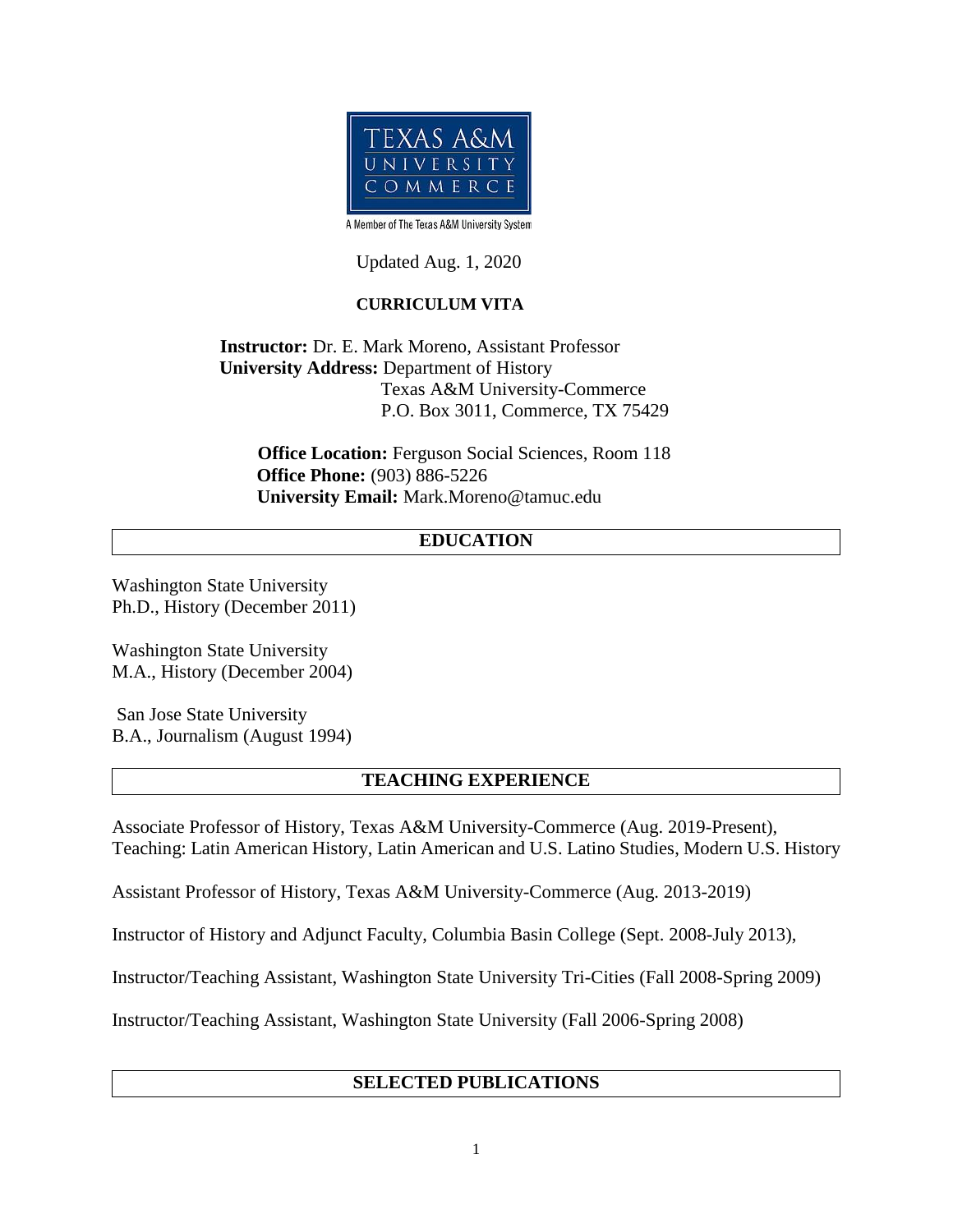

A Member of The Texas A&M University System

Updated Aug. 1, 2020

# **CURRICULUM VITA**

**Instructor:** Dr. E. Mark Moreno, Assistant Professor  **University Address:** Department of History Texas A&M University-Commerce P.O. Box 3011, Commerce, TX 75429

 **Office Location:** Ferguson Social Sciences, Room 118  **Office Phone:** (903) 886-5226 **University Email:** Mark.Moreno@tamuc.edu

# **EDUCATION**

Washington State University Ph.D., History (December 2011)

Washington State University M.A., History (December 2004)

 San Jose State University B.A., Journalism (August 1994)

### **TEACHING EXPERIENCE**

Associate Professor of History, Texas A&M University-Commerce (Aug. 2019-Present), Teaching: Latin American History, Latin American and U.S. Latino Studies, Modern U.S. History

Assistant Professor of History, Texas A&M University-Commerce (Aug. 2013-2019)

Instructor of History and Adjunct Faculty, Columbia Basin College (Sept. 2008-July 2013),

Instructor/Teaching Assistant, Washington State University Tri-Cities (Fall 2008-Spring 2009)

Instructor/Teaching Assistant, Washington State University (Fall 2006-Spring 2008)

## **SELECTED PUBLICATIONS**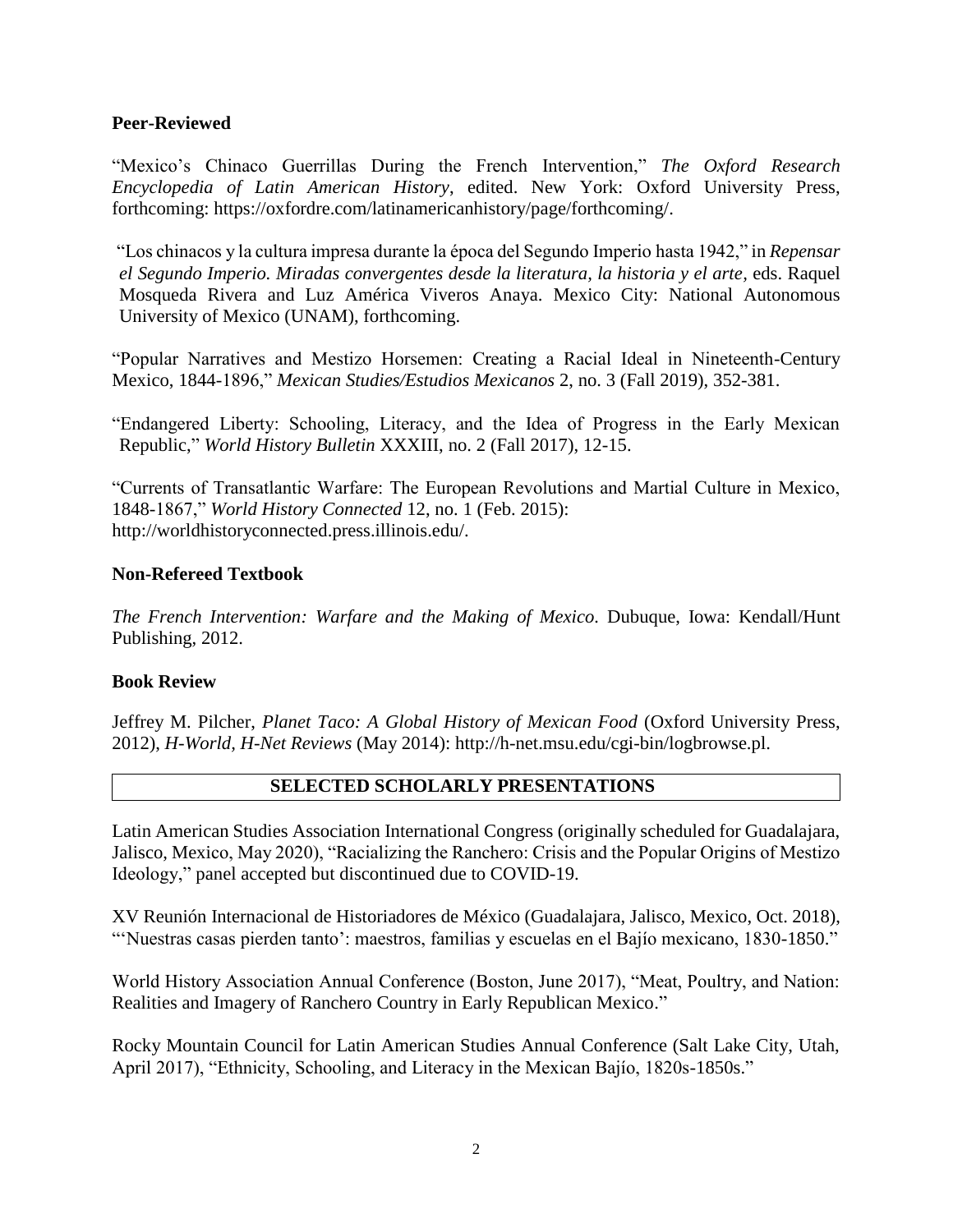### **Peer-Reviewed**

"Mexico's Chinaco Guerrillas During the French Intervention," *The Oxford Research Encyclopedia of Latin American History*, edited. New York: Oxford University Press, forthcoming: [https://oxfordre.com/latinamericanhistory/page/forthcoming/.](https://oxfordre.com/latinamericanhistory/page/forthcoming/)

"Los chinacos y la cultura impresa durante la época del Segundo Imperio hasta 1942," in *Repensar el Segundo Imperio. Miradas convergentes desde la literatura, la historia y el arte,* eds. Raquel Mosqueda Rivera and Luz América Viveros Anaya. Mexico City: National Autonomous University of Mexico (UNAM), forthcoming.

"Popular Narratives and Mestizo Horsemen: Creating a Racial Ideal in Nineteenth-Century Mexico, 1844-1896," *Mexican Studies/Estudios Mexicanos* 2, no. 3 (Fall 2019), 352-381.

"Endangered Liberty: Schooling, Literacy, and the Idea of Progress in the Early Mexican Republic," *World History Bulletin* XXXIII, no. 2 (Fall 2017), 12-15.

"Currents of Transatlantic Warfare: The European Revolutions and Martial Culture in Mexico, 1848-1867," *World History Connected* 12, no. 1 (Feb. 2015): [http://worldhistoryconnected.press.illinois.edu/.](http://worldhistoryconnected.press.illinois.edu/)

## **Non-Refereed Textbook**

*The French Intervention: Warfare and the Making of Mexico.* Dubuque, Iowa: Kendall/Hunt Publishing, 2012.

### **Book Review**

Jeffrey M. Pilcher, *Planet Taco: A Global History of Mexican Food* (Oxford University Press, 2012), *H-World, H-Net Reviews* (May 2014): http://h-net.msu.edu/cgi-bin/logbrowse.pl.

# **SELECTED SCHOLARLY PRESENTATIONS**

Latin American Studies Association International Congress (originally scheduled for Guadalajara, Jalisco, Mexico, May 2020), "Racializing the Ranchero: Crisis and the Popular Origins of Mestizo Ideology," panel accepted but discontinued due to COVID-19.

XV Reunión Internacional de Historiadores de México (Guadalajara, Jalisco, Mexico, Oct. 2018), "'Nuestras casas pierden tanto': maestros, familias y escuelas en el Bajío mexicano, 1830-1850."

World History Association Annual Conference (Boston, June 2017), "Meat, Poultry, and Nation: Realities and Imagery of Ranchero Country in Early Republican Mexico."

Rocky Mountain Council for Latin American Studies Annual Conference (Salt Lake City, Utah, April 2017), "Ethnicity, Schooling, and Literacy in the Mexican Bajío, 1820s-1850s."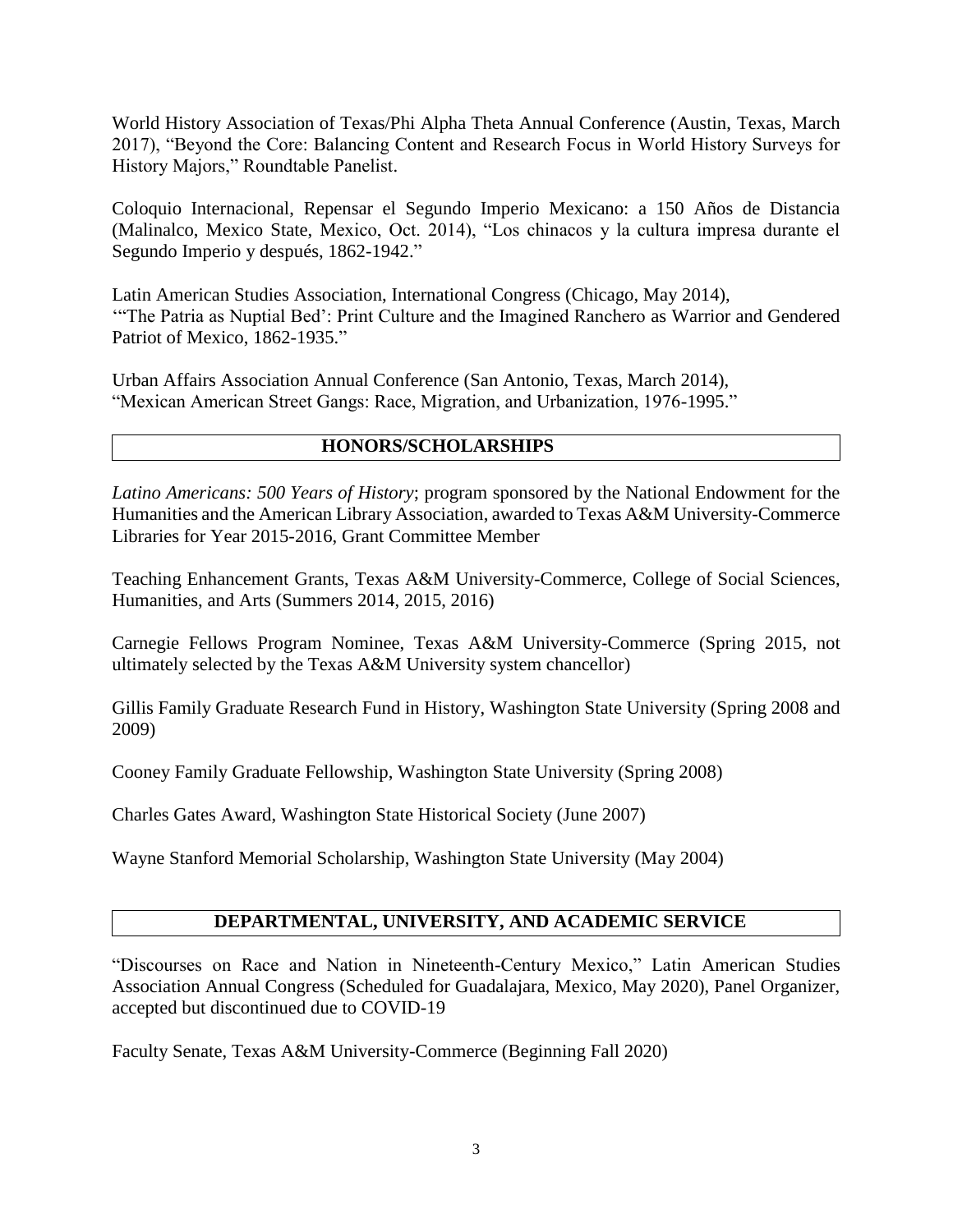World History Association of Texas/Phi Alpha Theta Annual Conference (Austin, Texas, March 2017), "Beyond the Core: Balancing Content and Research Focus in World History Surveys for History Majors," Roundtable Panelist.

Coloquio Internacional, Repensar el Segundo Imperio Mexicano: a 150 Años de Distancia (Malinalco, Mexico State, Mexico, Oct. 2014), "Los chinacos y la cultura impresa durante el Segundo Imperio y después, 1862-1942."

Latin American Studies Association, International Congress (Chicago, May 2014), '"The Patria as Nuptial Bed': Print Culture and the Imagined Ranchero as Warrior and Gendered Patriot of Mexico, 1862-1935."

Urban Affairs Association Annual Conference (San Antonio, Texas, March 2014), "Mexican American Street Gangs: Race, Migration, and Urbanization, 1976-1995."

## **HONORS/SCHOLARSHIPS**

*Latino Americans: 500 Years of History*; program sponsored by the National Endowment for the Humanities and the American Library Association, awarded to Texas A&M University-Commerce Libraries for Year 2015-2016, Grant Committee Member

Teaching Enhancement Grants, Texas A&M University-Commerce, College of Social Sciences, Humanities, and Arts (Summers 2014, 2015, 2016)

Carnegie Fellows Program Nominee, Texas A&M University-Commerce (Spring 2015, not ultimately selected by the Texas A&M University system chancellor)

Gillis Family Graduate Research Fund in History, Washington State University (Spring 2008 and 2009)

Cooney Family Graduate Fellowship, Washington State University (Spring 2008)

Charles Gates Award, Washington State Historical Society (June 2007)

Wayne Stanford Memorial Scholarship, Washington State University (May 2004)

### **DEPARTMENTAL, UNIVERSITY, AND ACADEMIC SERVICE**

"Discourses on Race and Nation in Nineteenth-Century Mexico," Latin American Studies Association Annual Congress (Scheduled for Guadalajara, Mexico, May 2020), Panel Organizer, accepted but discontinued due to COVID-19

Faculty Senate, Texas A&M University-Commerce (Beginning Fall 2020)